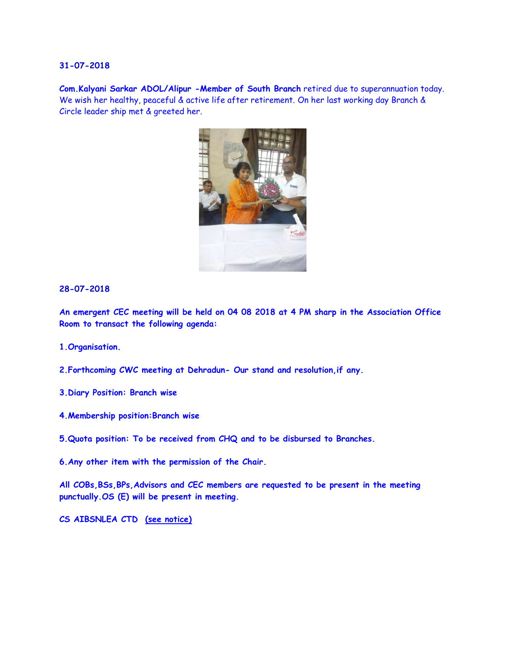**Com.Kalyani Sarkar ADOL/Alipur -Member of South Branch** retired due to superannuation today. We wish her healthy, peaceful & active life after retirement. On her last working day Branch & Circle leader ship met & greeted her.



#### **28-07-2018**

**An emergent CEC meeting will be held on 04 08 2018 at 4 PM sharp in the Association Office Room to transact the following agenda:**

**1.Organisation.** 

- **2.Forthcoming CWC meeting at Dehradun- Our stand and resolution,if any.**
- **3.Diary Position: Branch wise**
- **4.Membership position:Branch wise**
- **5.Quota position: To be received from CHQ and to be disbursed to Branches.**
- **6.Any other item with the permission of the Chair.**

**All COBs,BSs,BPs,Advisors and CEC members are requested to be present in the meeting punctually.OS (E) will be present in meeting.** 

**CS AIBSNLEA CTD [\(see notice\)](http://aibsnleawb.org/notice040818.pdf)**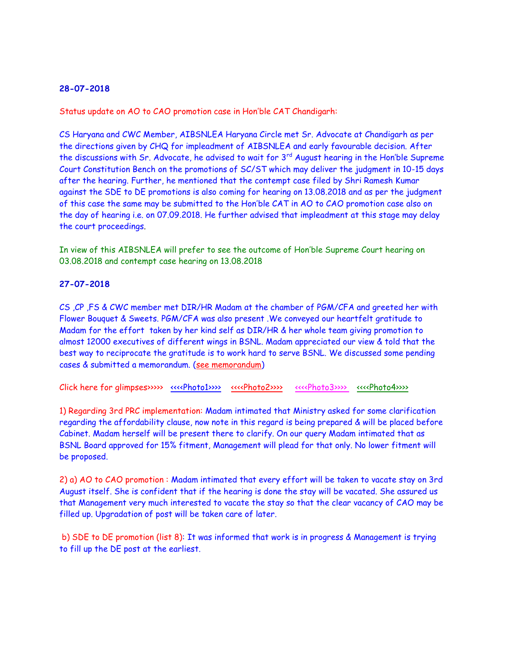Status update on AO to CAO promotion case in Hon'ble CAT Chandigarh:

CS Haryana and CWC Member, AIBSNLEA Haryana Circle met Sr. Advocate at Chandigarh as per the directions given by CHQ for impleadment of AIBSNLEA and early favourable decision. After the discussions with Sr. Advocate, he advised to wait for  $3<sup>rd</sup>$  August hearing in the Hon'ble Supreme Court Constitution Bench on the promotions of SC/ST which may deliver the judgment in 10-15 days after the hearing. Further, he mentioned that the contempt case filed by Shri Ramesh Kumar against the SDE to DE promotions is also coming for hearing on 13.08.2018 and as per the judgment of this case the same may be submitted to the Hon'ble CAT in AO to CAO promotion case also on the day of hearing i.e. on 07.09.2018. He further advised that impleadment at this stage may delay the court proceedings.

In view of this AIBSNLEA will prefer to see the outcome of Hon'ble Supreme Court hearing on 03.08.2018 and contempt case hearing on 13.08.2018

# **27-07-2018**

CS ,CP ,FS & CWC member met DIR/HR Madam at the chamber of PGM/CFA and greeted her with Flower Bouquet & Sweets. PGM/CFA was also present .We conveyed our heartfelt gratitude to Madam for the effort taken by her kind self as DIR/HR & her whole team giving promotion to almost 12000 executives of different wings in BSNL. Madam appreciated our view & told that the best way to reciprocate the gratitude is to work hard to serve BSNL. We discussed some pending cases & submitted a memorandum. [\(see memorandum\)](http://aibsnleawb.org/memorandum.pdf)

Click here for glimpses>>>>> [<<<<Photo1>>>>](http://www.aibsnleachq.in/d69a94ab-b89b-4a1f-99f2-c7fe1ef5e9c1.jpg) [<<<<Photo2>>>>](http://www.aibsnleachq.in/7fbde6a0-965a-46b0-8543-fa6fad5fb28a.jpg) [<<<<Photo3>>>>](http://www.aibsnleachq.in/6258698b-2d92-4d46-a59d-cc3e2918a2d3.jpg) <<<<Photo4>>>>>>>>

1) Regarding 3rd PRC implementation: Madam intimated that Ministry asked for some clarification regarding the affordability clause, now note in this regard is being prepared & will be placed before Cabinet. Madam herself will be present there to clarify. On our query Madam intimated that as BSNL Board approved for 15% fitment, Management will plead for that only. No lower fitment will be proposed.

2) a) AO to CAO promotion : Madam intimated that every effort will be taken to vacate stay on 3rd August itself. She is confident that if the hearing is done the stay will be vacated. She assured us that Management very much interested to vacate the stay so that the clear vacancy of CAO may be filled up. Upgradation of post will be taken care of later.

b) SDE to DE promotion (list 8): It was informed that work is in progress & Management is trying to fill up the DE post at the earliest.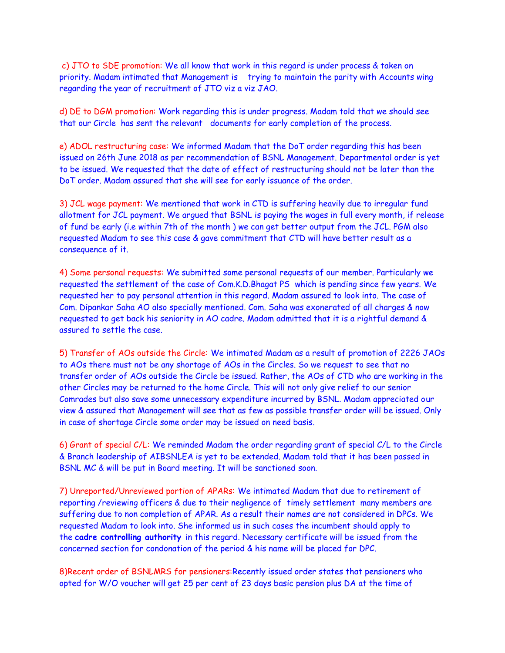c) JTO to SDE promotion: We all know that work in this regard is under process & taken on priority. Madam intimated that Management is trying to maintain the parity with Accounts wing regarding the year of recruitment of JTO viz a viz JAO.

d) DE to DGM promotion: Work regarding this is under progress. Madam told that we should see that our Circle has sent the relevant documents for early completion of the process.

e) ADOL restructuring case: We informed Madam that the DoT order regarding this has been issued on 26th June 2018 as per recommendation of BSNL Management. Departmental order is yet to be issued. We requested that the date of effect of restructuring should not be later than the DoT order. Madam assured that she will see for early issuance of the order.

3) JCL wage payment: We mentioned that work in CTD is suffering heavily due to irregular fund allotment for JCL payment. We argued that BSNL is paying the wages in full every month, if release of fund be early (i.e within 7th of the month ) we can get better output from the JCL. PGM also requested Madam to see this case & gave commitment that CTD will have better result as a consequence of it.

4) Some personal requests: We submitted some personal requests of our member. Particularly we requested the settlement of the case of Com.K.D.Bhagat PS which is pending since few years. We requested her to pay personal attention in this regard. Madam assured to look into. The case of Com. Dipankar Saha AO also specially mentioned. Com. Saha was exonerated of all charges & now requested to get back his seniority in AO cadre. Madam admitted that it is a rightful demand & assured to settle the case.

5) Transfer of AOs outside the Circle: We intimated Madam as a result of promotion of 2226 JAOs to AOs there must not be any shortage of AOs in the Circles. So we request to see that no transfer order of AOs outside the Circle be issued. Rather, the AOs of CTD who are working in the other Circles may be returned to the home Circle. This will not only give relief to our senior Comrades but also save some unnecessary expenditure incurred by BSNL. Madam appreciated our view & assured that Management will see that as few as possible transfer order will be issued. Only in case of shortage Circle some order may be issued on need basis.

6) Grant of special C/L: We reminded Madam the order regarding grant of special C/L to the Circle & Branch leadership of AIBSNLEA is yet to be extended. Madam told that it has been passed in BSNL MC & will be put in Board meeting. It will be sanctioned soon.

7) Unreported/Unreviewed portion of APARs: We intimated Madam that due to retirement of reporting /reviewing officers & due to their negligence of timely settlement many members are suffering due to non completion of APAR. As a result their names are not considered in DPCs. We requested Madam to look into. She informed us in such cases the incumbent should apply to the **cadre controlling authority** in this regard. Necessary certificate will be issued from the concerned section for condonation of the period & his name will be placed for DPC.

8)Recent order of BSNLMRS for pensioners:Recently issued order states that pensioners who opted for W/O voucher will get 25 per cent of 23 days basic pension plus DA at the time of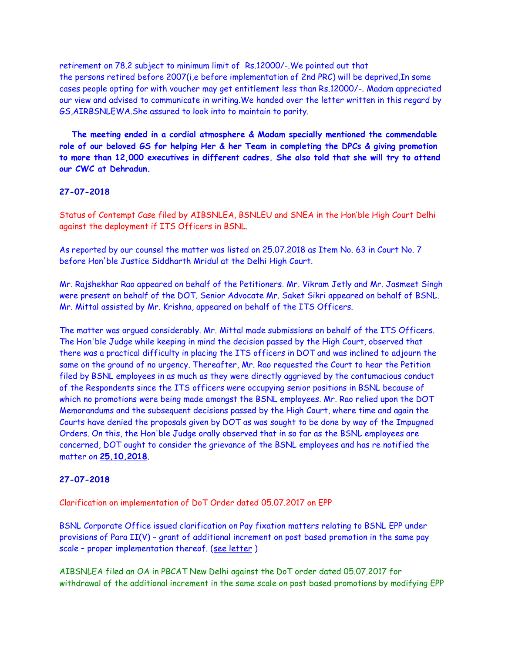retirement on 78.2 subject to minimum limit of Rs.12000/-.We pointed out that the persons retired before 2007(i,e before implementation of 2nd PRC) will be deprived,In some cases people opting for with voucher may get entitlement less than Rs.12000/-. Madam appreciated our view and advised to communicate in writing.We handed over the letter written in this regard by GS,AIRBSNLEWA.She assured to look into to maintain to parity.

 **The meeting ended in a cordial atmosphere & Madam specially mentioned the commendable role of our beloved GS for helping Her & her Team in completing the DPCs & giving promotion to more than 12,000 executives in different cadres. She also told that she will try to attend our CWC at Dehradun.**

### **27-07-2018**

Status of Contempt Case filed by AIBSNLEA, BSNLEU and SNEA in the Hon'ble High Court Delhi against the deployment if ITS Officers in BSNL.

As reported by our counsel the matter was listed on 25.07.2018 as Item No. 63 in Court No. 7 before Hon'ble Justice Siddharth Mridul at the Delhi High Court.

Mr. Rajshekhar Rao appeared on behalf of the Petitioners. Mr. Vikram Jetly and Mr. Jasmeet Singh were present on behalf of the DOT. Senior Advocate Mr. Saket Sikri appeared on behalf of BSNL. Mr. Mittal assisted by Mr. Krishna, appeared on behalf of the ITS Officers.

The matter was argued considerably. Mr. Mittal made submissions on behalf of the ITS Officers. The Hon'ble Judge while keeping in mind the decision passed by the High Court, observed that there was a practical difficulty in placing the ITS officers in DOT and was inclined to adjourn the same on the ground of no urgency. Thereafter, Mr. Rao requested the Court to hear the Petition filed by BSNL employees in as much as they were directly aggrieved by the contumacious conduct of the Respondents since the ITS officers were occupying senior positions in BSNL because of which no promotions were being made amongst the BSNL employees. Mr. Rao relied upon the DOT Memorandums and the subsequent decisions passed by the High Court, where time and again the Courts have denied the proposals given by DOT as was sought to be done by way of the Impugned Orders. On this, the Hon'ble Judge orally observed that in so far as the BSNL employees are concerned, DOT ought to consider the grievance of the BSNL employees and has re notified the matter on **25.10.2018**.

#### **27-07-2018**

Clarification on implementation of DoT Order dated 05.07.2017 on EPP

BSNL Corporate Office issued clarification on Pay fixation matters relating to BSNL EPP under provisions of Para II(V) – grant of additional increment on post based promotion in the same pay scale - proper implementation thereof. (see letter)

AIBSNLEA filed an OA in PBCAT New Delhi against the DoT order dated 05.07.2017 for withdrawal of the additional increment in the same scale on post based promotions by modifying EPP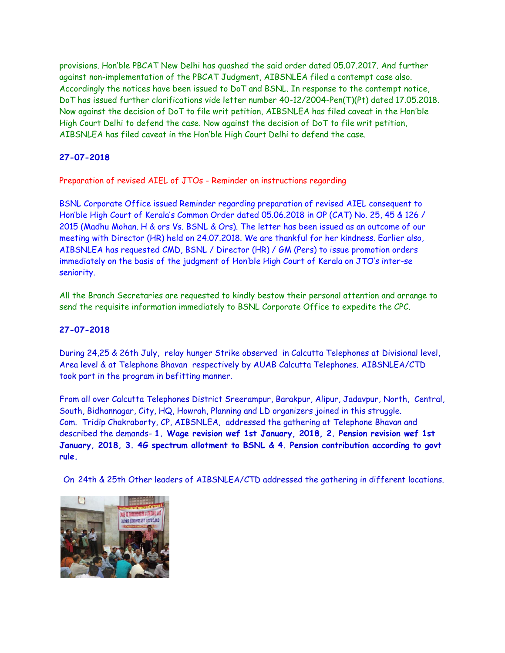provisions. Hon'ble PBCAT New Delhi has quashed the said order dated 05.07.2017. And further against non-implementation of the PBCAT Judgment, AIBSNLEA filed a contempt case also. Accordingly the notices have been issued to DoT and BSNL. In response to the contempt notice, DoT has issued further clarifications vide letter number 40-12/2004-Pen(T)(Pt) dated 17.05.2018. Now against the decision of DoT to file writ petition, AIBSNLEA has filed caveat in the Hon'ble High Court Delhi to defend the case. Now against the decision of DoT to file writ petition, AIBSNLEA has filed caveat in the Hon'ble High Court Delhi to defend the case.

# **27-07-2018**

Preparation of revised AIEL of JTOs - Reminder on instructions regarding

BSNL Corporate Office issued Reminder regarding preparation of revised AIEL consequent to Hon'ble High Court of Kerala's Common Order dated 05.06.2018 in OP (CAT) No. 25, 45 & 126 / 2015 (Madhu Mohan. H & ors Vs. BSNL & Ors). The letter has been issued as an outcome of our meeting with Director (HR) held on 24.07.2018. We are thankful for her kindness. Earlier also, AIBSNLEA has requested CMD, BSNL / Director (HR) / GM (Pers) to issue promotion orders immediately on the basis of the judgment of Hon'ble High Court of Kerala on JTO's inter-se seniority.

All the Branch Secretaries are requested to kindly bestow their personal attention and arrange to send the requisite information immediately to BSNL Corporate Office to expedite the CPC.

# **27-07-2018**

During 24,25 & 26th July, relay hunger Strike observed in Calcutta Telephones at Divisional level, Area level & at Telephone Bhavan respectively by AUAB Calcutta Telephones. AIBSNLEA/CTD took part in the program in befitting manner.

From all over Calcutta Telephones District Sreerampur, Barakpur, Alipur, Jadavpur, North, Central, South, Bidhannagar, City, HQ, Howrah, Planning and LD organizers joined in this struggle. Com. Tridip Chakraborty, CP, AIBSNLEA, addressed the gathering at Telephone Bhavan and described the demands- **1. Wage revision wef 1st January, 2018, 2. Pension revision wef 1st January, 2018, 3. 4G spectrum allotment to BSNL & 4. Pension contribution according to govt rule.**

On 24th & 25th Other leaders of AIBSNLEA/CTD addressed the gathering in different locations.

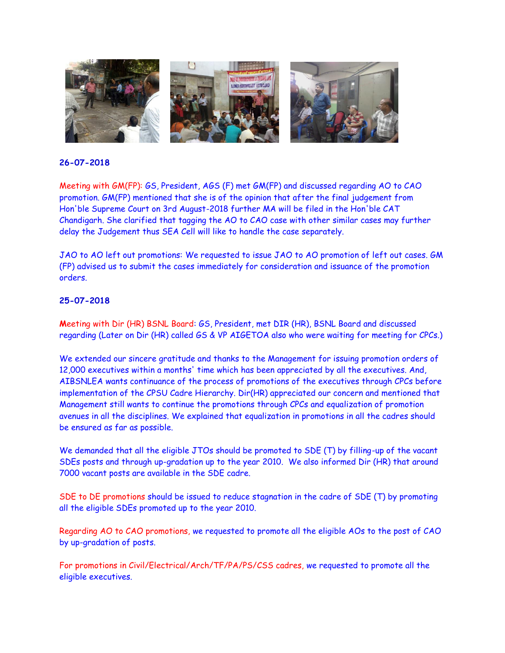

Meeting with GM(FP): GS, President, AGS (F) met GM(FP) and discussed regarding AO to CAO promotion. GM(FP) mentioned that she is of the opinion that after the final judgement from Hon'ble Supreme Court on 3rd August-2018 further MA will be filed in the Hon'ble CAT Chandigarh. She clarified that tagging the AO to CAO case with other similar cases may further delay the Judgement thus SEA Cell will like to handle the case separately.

JAO to AO left out promotions: We requested to issue JAO to AO promotion of left out cases. GM (FP) advised us to submit the cases immediately for consideration and issuance of the promotion orders.

# **25-07-2018**

**M**eeting with Dir (HR) BSNL Board: GS, President, met DIR (HR), BSNL Board and discussed regarding (Later on Dir (HR) called GS & VP AIGETOA also who were waiting for meeting for CPCs.)

We extended our sincere gratitude and thanks to the Management for issuing promotion orders of 12,000 executives within a months' time which has been appreciated by all the executives. And, AIBSNLEA wants continuance of the process of promotions of the executives through CPCs before implementation of the CPSU Cadre Hierarchy. Dir(HR) appreciated our concern and mentioned that Management still wants to continue the promotions through CPCs and equalization of promotion avenues in all the disciplines. We explained that equalization in promotions in all the cadres should be ensured as far as possible.

We demanded that all the eligible JTOs should be promoted to SDE (T) by filling-up of the vacant SDEs posts and through up-gradation up to the year 2010. We also informed Dir (HR) that around 7000 vacant posts are available in the SDE cadre.

SDE to DE promotions should be issued to reduce stagnation in the cadre of SDE (T) by promoting all the eligible SDEs promoted up to the year 2010.

Regarding AO to CAO promotions, we requested to promote all the eligible AOs to the post of CAO by up-gradation of posts.

For promotions in Civil/Electrical/Arch/TF/PA/PS/CSS cadres, we requested to promote all the eligible executives.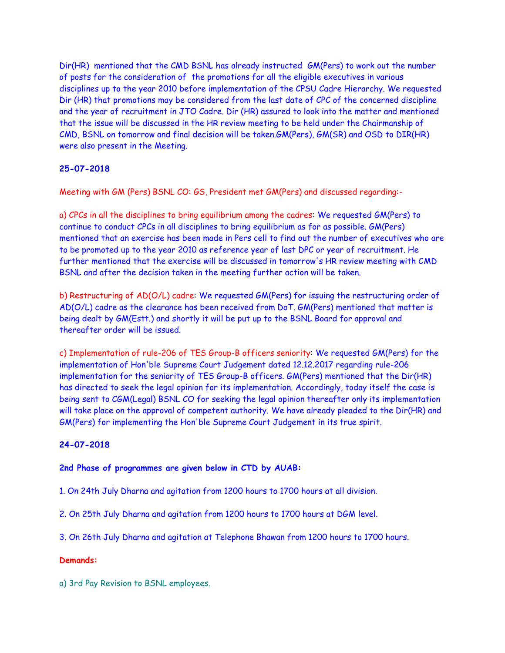Dir(HR) mentioned that the CMD BSNL has already instructed GM(Pers) to work out the number of posts for the consideration of the promotions for all the eligible executives in various disciplines up to the year 2010 before implementation of the CPSU Cadre Hierarchy. We requested Dir (HR) that promotions may be considered from the last date of CPC of the concerned discipline and the year of recruitment in JTO Cadre. Dir (HR) assured to look into the matter and mentioned that the issue will be discussed in the HR review meeting to be held under the Chairmanship of CMD, BSNL on tomorrow and final decision will be taken.GM(Pers), GM(SR) and OSD to DIR(HR) were also present in the Meeting.

# **25-07-2018**

Meeting with GM (Pers) BSNL CO: GS, President met GM(Pers) and discussed regarding:-

a) CPCs in all the disciplines to bring equilibrium among the cadres: We requested GM(Pers) to continue to conduct CPCs in all disciplines to bring equilibrium as for as possible. GM(Pers) mentioned that an exercise has been made in Pers cell to find out the number of executives who are to be promoted up to the year 2010 as reference year of last DPC or year of recruitment. He further mentioned that the exercise will be discussed in tomorrow's HR review meeting with CMD BSNL and after the decision taken in the meeting further action will be taken.

b) Restructuring of AD(O/L) cadre: We requested GM(Pers) for issuing the restructuring order of AD(O/L) cadre as the clearance has been received from DoT. GM(Pers) mentioned that matter is being dealt by GM(Estt.) and shortly it will be put up to the BSNL Board for approval and thereafter order will be issued.

c) Implementation of rule-206 of TES Group-B officers seniority: We requested GM(Pers) for the implementation of Hon'ble Supreme Court Judgement dated 12.12.2017 regarding rule-206 implementation for the seniority of TES Group-B officers. GM(Pers) mentioned that the Dir(HR) has directed to seek the legal opinion for its implementation. Accordingly, today itself the case is being sent to CGM(Legal) BSNL CO for seeking the legal opinion thereafter only its implementation will take place on the approval of competent authority. We have already pleaded to the Dir(HR) and GM(Pers) for implementing the Hon'ble Supreme Court Judgement in its true spirit.

### **24-07-2018**

#### **2nd Phase of programmes are given below in CTD by AUAB:**

1. On 24th July Dharna and agitation from 1200 hours to 1700 hours at all division.

2. On 25th July Dharna and agitation from 1200 hours to 1700 hours at DGM level.

3. On 26th July Dharna and agitation at Telephone Bhawan from 1200 hours to 1700 hours.

#### **Demands:**

a) 3rd Pay Revision to BSNL employees.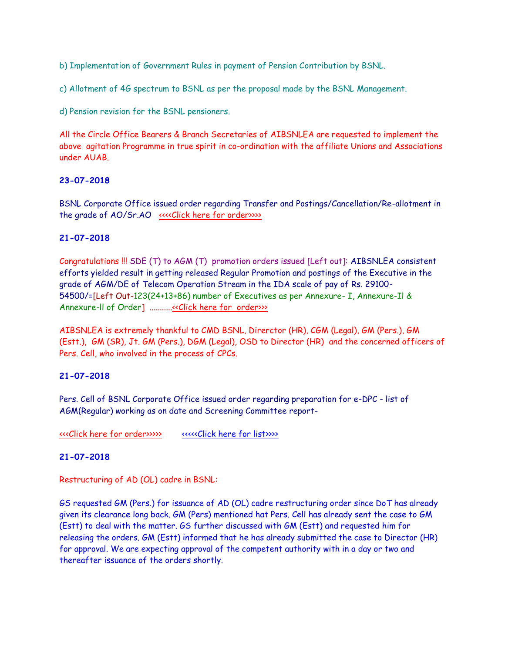b) Implementation of Government Rules in payment of Pension Contribution by BSNL.

c) Allotment of 4G spectrum to BSNL as per the proposal made by the BSNL Management.

d) Pension revision for the BSNL pensioners.

All the Circle Office Bearers & Branch Secretaries of AIBSNLEA are requested to implement the above agitation Programme in true spirit in co-ordination with the affiliate Unions and Associations under AUAB.

# **23-07-2018**

BSNL Corporate Office issued order regarding Transfer and Postings/Cancellation/Re-allotment in the grade of AO/Sr.AO [<<<<Click here for order>>>>](http://www.aibsnleachq.in/order%2023.07.2018.pdf)

# **21-07-2018**

Congratulations !!! SDE (T) to AGM (T) promotion orders issued [Left out]: AIBSNLEA consistent efforts yielded result in getting released Regular Promotion and postings of the Executive in the grade of AGM/DE of Telecom Operation Stream in the IDA scale of pay of Rs. 29100- 54500/=[Left Out-123(24+13+86) number of Executives as per Annexure- I, Annexure-Il & Annexure-ll of Order] .........[..<<Click here for order>>>](http://www.aibsnleachq.in/DE_200718_1.pdf) 

AIBSNLEA is extremely thankful to CMD BSNL, Direrctor (HR), CGM (Legal), GM (Pers.), GM (Estt.), GM (SR), Jt. GM (Pers.), DGM (Legal), OSD to Director (HR) and the concerned officers of Pers. Cell, who involved in the process of CPCs.

# **21-07-2018**

Pers. Cell of BSNL Corporate Office issued order regarding preparation for e-DPC - list of AGM(Regular) working as on date and Screening Committee report-

[<<<Click here for order>>>>>](http://www.aibsnleachq.in/DPC_200718.pdf) [<<<<<Click here for list>>>>](http://www.aibsnleachq.in/e-dpc-net-20072018.xls)

### **21-07-2018**

Restructuring of AD (OL) cadre in BSNL:

GS requested GM (Pers.) for issuance of AD (OL) cadre restructuring order since DoT has already given its clearance long back. GM (Pers) mentioned hat Pers. Cell has already sent the case to GM (Estt) to deal with the matter. GS further discussed with GM (Estt) and requested him for releasing the orders. GM (Estt) informed that he has already submitted the case to Director (HR) for approval. We are expecting approval of the competent authority with in a day or two and thereafter issuance of the orders shortly.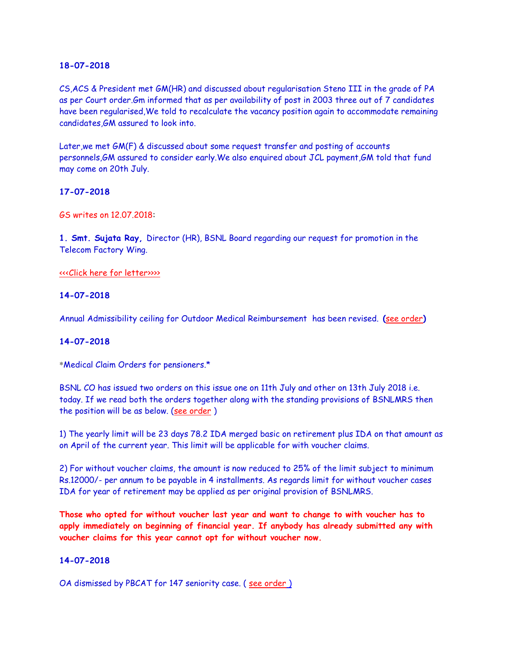CS,ACS & President met GM(HR) and discussed about regularisation Steno III in the grade of PA as per Court order.Gm informed that as per availability of post in 2003 three out of 7 candidates have been regularised,We told to recalculate the vacancy position again to accommodate remaining candidates,GM assured to look into.

Later,we met GM(F) & discussed about some request transfer and posting of accounts personnels,GM assured to consider early.We also enquired about JCL payment,GM told that fund may come on 20th July.

### **17-07-2018**

GS writes on 12.07.2018:

**1. Smt. Sujata Ray,** Director (HR), BSNL Board regarding our request for promotion in the Telecom Factory Wing.

[<<<Click here for letter>>>>](http://www.aibsnleachq.in/GMTF_180716.pdf)

### **14-07-2018**

Annual Admissibility ceiling for Outdoor Medical Reimbursement has been revised. **(**[see order](http://aibsnleawb.org/BSNLMRS%20Revision%20of%20annual%20ceiling-5.pdf)**)**

### **14-07-2018**

\*Medical Claim Orders for pensioners.\*

BSNL CO has issued two orders on this issue one on 11th July and other on 13th July 2018 i.e. today. If we read both the orders together along with the standing provisions of BSNLMRS then the position will be as below. (see order)

1) The yearly limit will be 23 days 78.2 IDA merged basic on retirement plus IDA on that amount as on April of the current year. This limit will be applicable for with voucher claims.

2) For without voucher claims, the amount is now reduced to 25% of the limit subject to minimum Rs.12000/- per annum to be payable in 4 installments. As regards limit for without voucher cases IDA for year of retirement may be applied as per original provision of BSNLMRS.

**Those who opted for without voucher last year and want to change to with voucher has to apply immediately on beginning of financial year. If anybody has already submitted any with voucher claims for this year cannot opt for without voucher now.**

### **14-07-2018**

OA dismissed by PBCAT for 147 seniority case. (see order)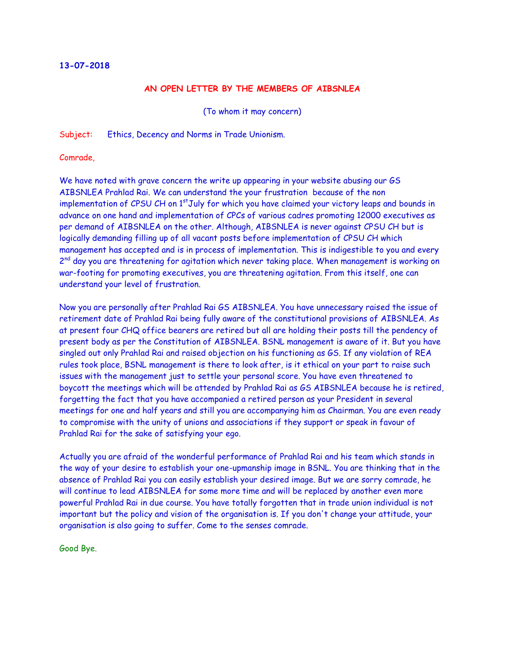### **AN OPEN LETTER BY THE MEMBERS OF AIBSNLEA**

(To whom it may concern)

Subject: Ethics, Decency and Norms in Trade Unionism.

Comrade,

We have noted with grave concern the write up appearing in your website abusing our GS AIBSNLEA Prahlad Rai. We can understand the your frustration because of the non implementation of CPSU CH on 1<sup>st</sup>July for which you have claimed your victory leaps and bounds in advance on one hand and implementation of CPCs of various cadres promoting 12000 executives as per demand of AIBSNLEA on the other. Although, AIBSNLEA is never against CPSU CH but is logically demanding filling up of all vacant posts before implementation of CPSU CH which management has accepted and is in process of implementation. This is indigestible to you and every 2<sup>nd</sup> day you are threatening for agitation which never taking place. When management is working on war-footing for promoting executives, you are threatening agitation. From this itself, one can understand your level of frustration.

Now you are personally after Prahlad Rai GS AIBSNLEA. You have unnecessary raised the issue of retirement date of Prahlad Rai being fully aware of the constitutional provisions of AIBSNLEA. As at present four CHQ office bearers are retired but all are holding their posts till the pendency of present body as per the Constitution of AIBSNLEA. BSNL management is aware of it. But you have singled out only Prahlad Rai and raised objection on his functioning as GS. If any violation of REA rules took place, BSNL management is there to look after, is it ethical on your part to raise such issues with the management just to settle your personal score. You have even threatened to boycott the meetings which will be attended by Prahlad Rai as GS AIBSNLEA because he is retired, forgetting the fact that you have accompanied a retired person as your President in several meetings for one and half years and still you are accompanying him as Chairman. You are even ready to compromise with the unity of unions and associations if they support or speak in favour of Prahlad Rai for the sake of satisfying your ego.

Actually you are afraid of the wonderful performance of Prahlad Rai and his team which stands in the way of your desire to establish your one-upmanship image in BSNL. You are thinking that in the absence of Prahlad Rai you can easily establish your desired image. But we are sorry comrade, he will continue to lead AIBSNLEA for some more time and will be replaced by another even more powerful Prahlad Rai in due course. You have totally forgotten that in trade union individual is not important but the policy and vision of the organisation is. If you don't change your attitude, your organisation is also going to suffer. Come to the senses comrade.

Good Bye.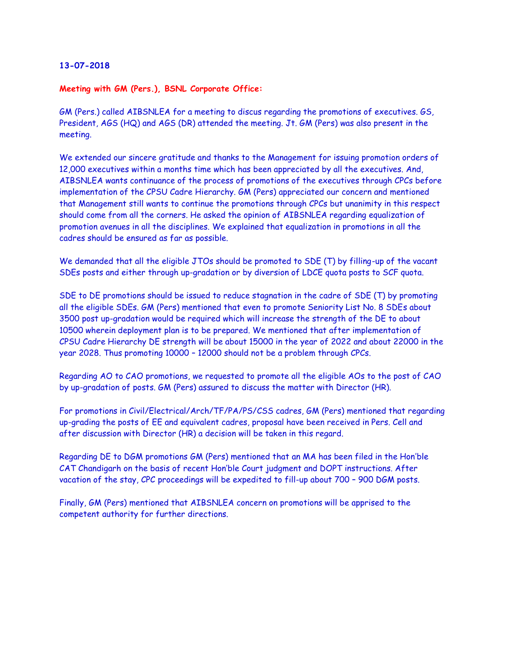#### **Meeting with GM (Pers.), BSNL Corporate Office:**

GM (Pers.) called AIBSNLEA for a meeting to discus regarding the promotions of executives. GS, President, AGS (HQ) and AGS (DR) attended the meeting. Jt. GM (Pers) was also present in the meeting.

We extended our sincere gratitude and thanks to the Management for issuing promotion orders of 12,000 executives within a months time which has been appreciated by all the executives. And, AIBSNLEA wants continuance of the process of promotions of the executives through CPCs before implementation of the CPSU Cadre Hierarchy. GM (Pers) appreciated our concern and mentioned that Management still wants to continue the promotions through CPCs but unanimity in this respect should come from all the corners. He asked the opinion of AIBSNLEA regarding equalization of promotion avenues in all the disciplines. We explained that equalization in promotions in all the cadres should be ensured as far as possible.

We demanded that all the eligible JTOs should be promoted to SDE (T) by filling-up of the vacant SDEs posts and either through up-gradation or by diversion of LDCE quota posts to SCF quota.

SDE to DE promotions should be issued to reduce stagnation in the cadre of SDE (T) by promoting all the eligible SDEs. GM (Pers) mentioned that even to promote Seniority List No. 8 SDEs about 3500 post up-gradation would be required which will increase the strength of the DE to about 10500 wherein deployment plan is to be prepared. We mentioned that after implementation of CPSU Cadre Hierarchy DE strength will be about 15000 in the year of 2022 and about 22000 in the year 2028. Thus promoting 10000 – 12000 should not be a problem through CPCs.

Regarding AO to CAO promotions, we requested to promote all the eligible AOs to the post of CAO by up-gradation of posts. GM (Pers) assured to discuss the matter with Director (HR).

For promotions in Civil/Electrical/Arch/TF/PA/PS/CSS cadres, GM (Pers) mentioned that regarding up-grading the posts of EE and equivalent cadres, proposal have been received in Pers. Cell and after discussion with Director (HR) a decision will be taken in this regard.

Regarding DE to DGM promotions GM (Pers) mentioned that an MA has been filed in the Hon'ble CAT Chandigarh on the basis of recent Hon'ble Court judgment and DOPT instructions. After vacation of the stay, CPC proceedings will be expedited to fill-up about 700 – 900 DGM posts.

Finally, GM (Pers) mentioned that AIBSNLEA concern on promotions will be apprised to the competent authority for further directions.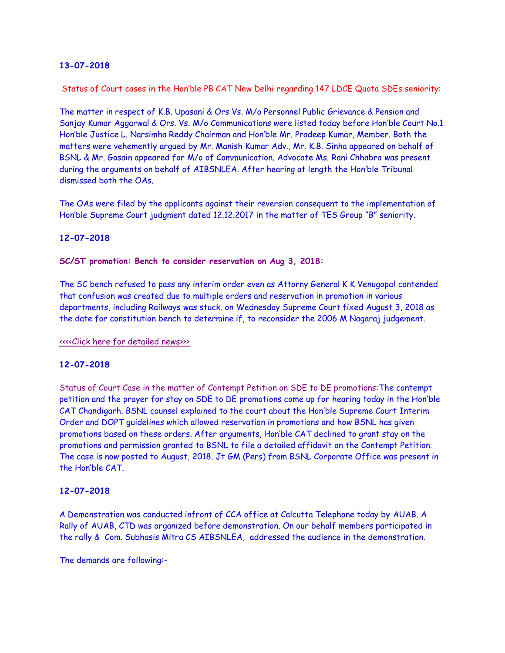Status of Court cases in the Hon'ble PB CAT New Delhi regarding 147 LDCE Quota SDEs seniority:

The matter in respect of K.B. Upasani & Ors Vs. M/o Personnel Public Grievance & Pension and Sanjay Kumar Aggarwal & Ors. Vs. M/o Communications were listed today before Hon'ble Court No.1 Hon'ble Justice L. Narsimha Reddy Chairman and Hon'ble Mr. Pradeep Kumar, Member. Both the matters were vehemently argued by Mr. Manish Kumar Adv., Mr. K.B. Sinha appeared on behalf of BSNL & Mr. Gosain appeared for M/o of Communication. Advocate Ms. Rani Chhabra was present during the arguments on behalf of AIBSNLEA. After hearing at length the Hon'ble Tribunal dismissed both the OAs.

The OAs were filed by the applicants against their reversion consequent to the implementation of Hon'ble Supreme Court judgment dated 12.12.2017 in the matter of TES Group "B" seniority.

### **12-07-2018**

**SC/ST promotion: Bench to consider reservation on Aug 3, 2018:**

The SC bench refused to pass any interim order even as Attorny General K K Venugopal contended that confusion was created due to multiple orders and reservation in promotion in various departments, including Railways was stuck. on Wednesday Supreme Court fixed August 3, 2018 as the date for constitution bench to determine if, to reconsider the 2006 M Nagaraj judgement.

[<<<<Click here for detailed news>>>](https://www.deccanherald.com/national/top-national-stories/sc/st-promotion-bench-consider-680546.html)

### **12-07-2018**

Status of Court Case in the matter of Contempt Petition on SDE to DE promotions:The contempt petition and the prayer for stay on SDE to DE promotions come up for hearing today in the Hon'ble CAT Chandigarh. BSNL counsel explained to the court about the Hon'ble Supreme Court Interim Order and DOPT guidelines which allowed reservation in promotions and how BSNL has given promotions based on these orders. After arguments, Hon'ble CAT declined to grant stay on the promotions and permission granted to BSNL to file a detailed affidavit on the Contempt Petition. The case is now posted to August, 2018. Jt GM (Pers) from BSNL Corporate Office was present in the Hon'ble CAT.

### **12-07-2018**

A Demonstration was conducted infront of CCA office at Calcutta Telephone today by AUAB. A Rally of AUAB, CTD was organized before demonstration. On our behalf members participated in the rally & Com. Subhasis Mitra CS AIBSNLEA, addressed the audience in the demonstration.

The demands are following:-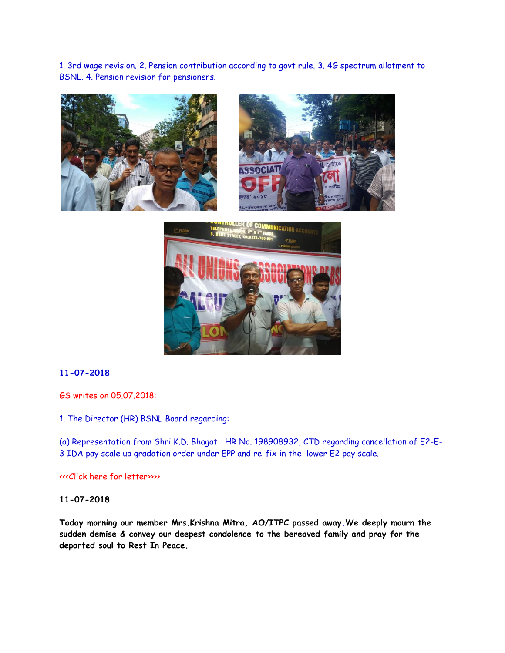1. 3rd wage revision. 2. Pension contribution according to govt rule. 3. 4G spectrum allotment to BSNL. 4. Pension revision for pensioners.







# **11-07-2018**

GS writes on 05.07.2018:

1. The Director (HR) BSNL Board regarding:

(a) Representation from Shri K.D. Bhagat HR No. 198908932, CTD regarding cancellation of E2-E-3 IDA pay scale up gradation order under EPP and re-fix in the lower E2 pay scale.

[<<<Click here for letter>>>>](http://www.aibsnleachq.in/DIRHR_180705.pdf)

### **11-07-2018**

**Today morning our member Mrs.Krishna Mitra, AO/ITPC passed away.We deeply mourn the sudden demise & convey our deepest condolence to the bereaved family and pray for the departed soul to Rest In Peace.**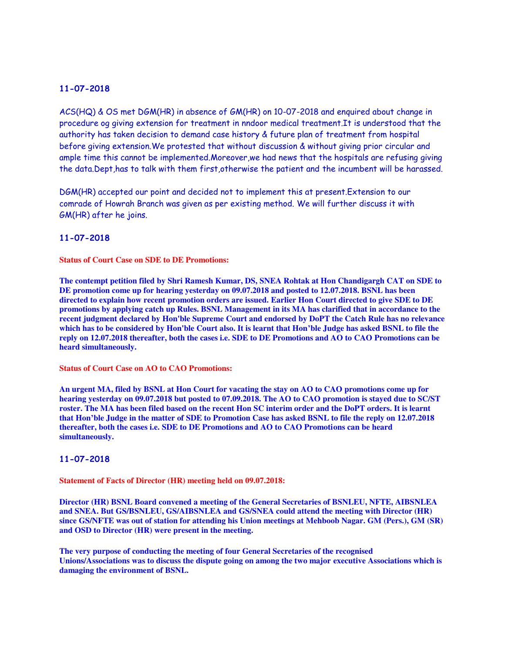ACS(HQ) & OS met DGM(HR) in absence of GM(HR) on 10-07-2018 and enquired about change in procedure og giving extension for treatment in nndoor medical treatment.It is understood that the authority has taken decision to demand case history & future plan of treatment from hospital before giving extension.We protested that without discussion & without giving prior circular and ample time this cannot be implemented.Moreover,we had news that the hospitals are refusing giving the data.Dept,has to talk with them first,otherwise the patient and the incumbent will be harassed.

DGM(HR) accepted our point and decided not to implement this at present.Extension to our comrade of Howrah Branch was given as per existing method. We will further discuss it with GM(HR) after he joins.

#### **11-07-2018**

**Status of Court Case on SDE to DE Promotions:**

**The contempt petition filed by Shri Ramesh Kumar, DS, SNEA Rohtak at Hon Chandigargh CAT on SDE to DE promotion come up for hearing yesterday on 09.07.2018 and posted to 12.07.2018. BSNL has been directed to explain how recent promotion orders are issued. Earlier Hon Court directed to give SDE to DE promotions by applying catch up Rules. BSNL Management in its MA has clarified that in accordance to the recent judgment declared by Hon'ble Supreme Court and endorsed by DoPT the Catch Rule has no relevance which has to be considered by Hon'ble Court also. It is learnt that Hon'ble Judge has asked BSNL to file the reply on 12.07.2018 thereafter, both the cases i.e. SDE to DE Promotions and AO to CAO Promotions can be heard simultaneously.**

**Status of Court Case on AO to CAO Promotions:**

**An urgent MA, filed by BSNL at Hon Court for vacating the stay on AO to CAO promotions come up for hearing yesterday on 09.07.2018 but posted to 07.09.2018. The AO to CAO promotion is stayed due to SC/ST roster. The MA has been filed based on the recent Hon SC interim order and the DoPT orders. It is learnt that Hon'ble Judge in the matter of SDE to Promotion Case has asked BSNL to file the reply on 12.07.2018 thereafter, both the cases i.e. SDE to DE Promotions and AO to CAO Promotions can be heard simultaneously.**

#### **11-07-2018**

**Statement of Facts of Director (HR) meeting held on 09.07.2018:**

**Director (HR) BSNL Board convened a meeting of the General Secretaries of BSNLEU, NFTE, AIBSNLEA and SNEA. But GS/BSNLEU, GS/AIBSNLEA and GS/SNEA could attend the meeting with Director (HR) since GS/NFTE was out of station for attending his Union meetings at Mehboob Nagar. GM (Pers.), GM (SR) and OSD to Director (HR) were present in the meeting.**

**The very purpose of conducting the meeting of four General Secretaries of the recognised Unions/Associations was to discuss the dispute going on among the two major executive Associations which is damaging the environment of BSNL.**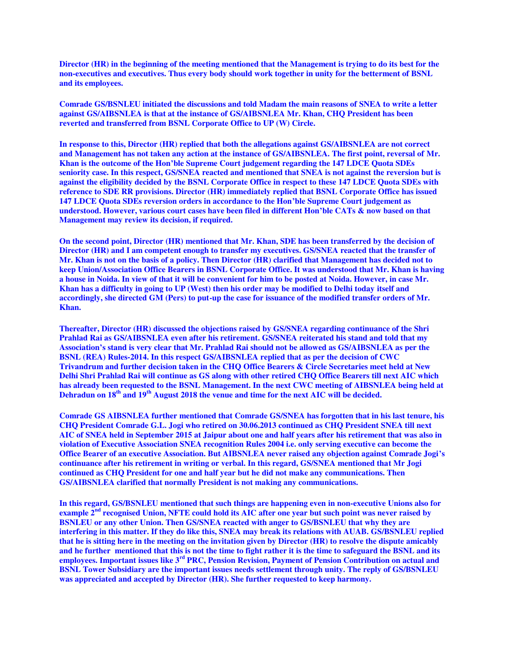**Director (HR) in the beginning of the meeting mentioned that the Management is trying to do its best for the non-executives and executives. Thus every body should work together in unity for the betterment of BSNL and its employees.**

**Comrade GS/BSNLEU initiated the discussions and told Madam the main reasons of SNEA to write a letter against GS/AIBSNLEA is that at the instance of GS/AIBSNLEA Mr. Khan, CHQ President has been reverted and transferred from BSNL Corporate Office to UP (W) Circle.**

**In response to this, Director (HR) replied that both the allegations against GS/AIBSNLEA are not correct and Management has not taken any action at the instance of GS/AIBSNLEA. The first point, reversal of Mr. Khan is the outcome of the Hon'ble Supreme Court judgement regarding the 147 LDCE Quota SDEs seniority case. In this respect, GS/SNEA reacted and mentioned that SNEA is not against the reversion but is against the eligibility decided by the BSNL Corporate Office in respect to these 147 LDCE Quota SDEs with reference to SDE RR provisions. Director (HR) immediately replied that BSNL Corporate Office has issued 147 LDCE Quota SDEs reversion orders in accordance to the Hon'ble Supreme Court judgement as understood. However, various court cases have been filed in different Hon'ble CATs & now based on that Management may review its decision, if required.**

**On the second point, Director (HR) mentioned that Mr. Khan, SDE has been transferred by the decision of Director (HR) and I am competent enough to transfer my executives. GS/SNEA reacted that the transfer of Mr. Khan is not on the basis of a policy. Then Director (HR) clarified that Management has decided not to keep Union/Association Office Bearers in BSNL Corporate Office. It was understood that Mr. Khan is having a house in Noida. In view of that it will be convenient for him to be posted at Noida. However, in case Mr. Khan has a difficulty in going to UP (West) then his order may be modified to Delhi today itself and accordingly, she directed GM (Pers) to put-up the case for issuance of the modified transfer orders of Mr. Khan.**

**Thereafter, Director (HR) discussed the objections raised by GS/SNEA regarding continuance of the Shri Prahlad Rai as GS/AIBSNLEA even after his retirement. GS/SNEA reiterated his stand and told that my Association's stand is very clear that Mr. Prahlad Rai should not be allowed as GS/AIBSNLEA as per the BSNL (REA) Rules-2014. In this respect GS/AIBSNLEA replied that as per the decision of CWC Trivandrum and further decision taken in the CHQ Office Bearers & Circle Secretaries meet held at New Delhi Shri Prahlad Rai will continue as GS along with other retired CHQ Office Bearers till next AIC which has already been requested to the BSNL Management. In the next CWC meeting of AIBSNLEA being held at Dehradun on 18th and 19th August 2018 the venue and time for the next AIC will be decided.**

**Comrade GS AIBSNLEA further mentioned that Comrade GS/SNEA has forgotten that in his last tenure, his CHQ President Comrade G.L. Jogi who retired on 30.06.2013 continued as CHQ President SNEA till next AIC of SNEA held in September 2015 at Jaipur about one and half years after his retirement that was also in violation of Executive Association SNEA recognition Rules 2004 i.e. only serving executive can become the Office Bearer of an executive Association. But AIBSNLEA never raised any objection against Comrade Jogi's continuance after his retirement in writing or verbal. In this regard, GS/SNEA mentioned that Mr Jogi continued as CHQ President for one and half year but he did not make any communications. Then GS/AIBSNLEA clarified that normally President is not making any communications.**

**In this regard, GS/BSNLEU mentioned that such things are happening even in non-executive Unions also for example 2nd recognised Union, NFTE could hold its AIC after one year but such point was never raised by BSNLEU or any other Union. Then GS/SNEA reacted with anger to GS/BSNLEU that why they are interfering in this matter. If they do like this, SNEA may break its relations with AUAB. GS/BSNLEU replied that he is sitting here in the meeting on the invitation given by Director (HR) to resolve the dispute amicably and he further mentioned that this is not the time to fight rather it is the time to safeguard the BSNL and its employees. Important issues like 3rd PRC, Pension Revision, Payment of Pension Contribution on actual and BSNL Tower Subsidiary are the important issues needs settlement through unity. The reply of GS/BSNLEU was appreciated and accepted by Director (HR). She further requested to keep harmony.**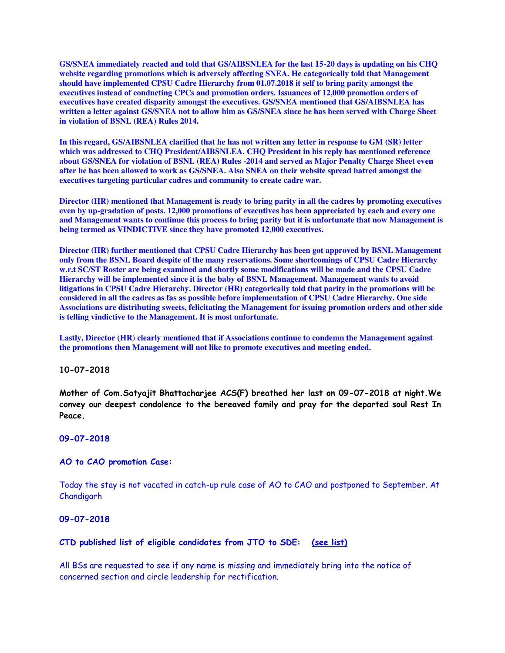**GS/SNEA immediately reacted and told that GS/AIBSNLEA for the last 15-20 days is updating on his CHQ website regarding promotions which is adversely affecting SNEA. He categorically told that Management should have implemented CPSU Cadre Hierarchy from 01.07.2018 it self to bring parity amongst the executives instead of conducting CPCs and promotion orders. Issuances of 12,000 promotion orders of executives have created disparity amongst the executives. GS/SNEA mentioned that GS/AIBSNLEA has written a letter against GS/SNEA not to allow him as GS/SNEA since he has been served with Charge Sheet in violation of BSNL (REA) Rules 2014.**

**In this regard, GS/AIBSNLEA clarified that he has not written any letter in response to GM (SR) letter which was addressed to CHQ President/AIBSNLEA. CHQ President in his reply has mentioned reference about GS/SNEA for violation of BSNL (REA) Rules -2014 and served as Major Penalty Charge Sheet even after he has been allowed to work as GS/SNEA. Also SNEA on their website spread hatred amongst the executives targeting particular cadres and community to create cadre war.** 

**Director (HR) mentioned that Management is ready to bring parity in all the cadres by promoting executives even by up-gradation of posts. 12,000 promotions of executives has been appreciated by each and every one and Management wants to continue this process to bring parity but it is unfortunate that now Management is being termed as VINDICTIVE since they have promoted 12,000 executives.**

**Director (HR) further mentioned that CPSU Cadre Hierarchy has been got approved by BSNL Management only from the BSNL Board despite of the many reservations. Some shortcomings of CPSU Cadre Hierarchy w.r.t SC/ST Roster are being examined and shortly some modifications will be made and the CPSU Cadre Hierarchy will be implemented since it is the baby of BSNL Management. Management wants to avoid litigations in CPSU Cadre Hierarchy. Director (HR) categorically told that parity in the promotions will be considered in all the cadres as fas as possible before implementation of CPSU Cadre Hierarchy. One side Associations are distributing sweets, felicitating the Management for issuing promotion orders and other side is telling vindictive to the Management. It is most unfortunate.**

**Lastly, Director (HR) clearly mentioned that if Associations continue to condemn the Management against the promotions then Management will not like to promote executives and meeting ended.** 

#### **10-07-2018**

**Mother of Com.Satyajit Bhattacharjee ACS(F) breathed her last on 09-07-2018 at night.We convey our deepest condolence to the bereaved family and pray for the departed soul Rest In Peace.**

#### **09-07-2018**

#### **AO to CAO promotion Case:**

Today the stay is not vacated in catch-up rule case of AO to CAO and postponed to September. At Chandigarh

#### **09-07-2018**

#### **CTD published list of eligible candidates from JTO to SDE: (see list)**

All BSs are requested to see if any name is missing and immediately bring into the notice of concerned section and circle leadership for rectification.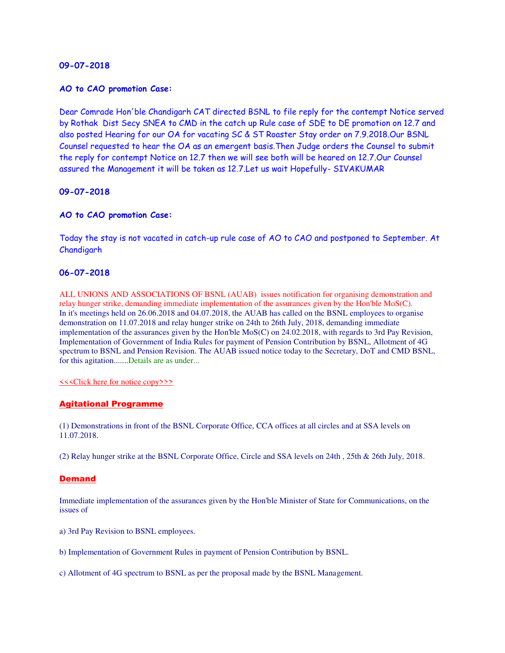#### **AO to CAO promotion Case:**

Dear Comrade Hon'ble Chandigarh CAT directed BSNL to file reply for the contempt Notice served by Rothak Dist Secy SNEA to CMD in the catch up Rule case of SDE to DE promotion on 12.7 and also posted Hearing for our OA for vacating SC & ST Roaster Stay order on 7.9.2018.Our BSNL Counsel requested to hear the OA as an emergent basis.Then Judge orders the Counsel to submit the reply for contempt Notice on 12.7 then we will see both will be heared on 12.7.Our Counsel assured the Management it will be taken as 12.7.Let us wait Hopefully- SIVAKUMAR

### **09-07-2018**

### **AO to CAO promotion Case:**

Today the stay is not vacated in catch-up rule case of AO to CAO and postponed to September. At Chandigarh

### **06-07-2018**

ALL UNIONS AND ASSOCIATIONS OF BSNL (AUAB) issues notification for organising demonstration and relay hunger strike, demanding immediate implementation of the assurances given by the Hon'ble MoS(C). In it's meetings held on 26.06.2018 and 04.07.2018, the AUAB has called on the BSNL employees to organise demonstration on 11.07.2018 and relay hunger strike on 24th to 26th July, 2018, demanding immediate implementation of the assurances given by the Hon'ble MoS(C) on 24.02.2018, with regards to 3rd Pay Revision, Implementation of Government of India Rules for payment of Pension Contribution by BSNL, Allotment of 4G spectrum to BSNL and Pension Revision. The AUAB issued notice today to the Secretary, DoT and CMD BSNL, for this agitation.......Details are as under...

#### [<<<Click here for notice copy>>>](http://www.aibsnleachq.in/notice_06072018.pdf)

#### Agitational Programme

(1) Demonstrations in front of the BSNL Corporate Office, CCA offices at all circles and at SSA levels on 11.07.2018.

(2) Relay hunger strike at the BSNL Corporate Office, Circle and SSA levels on 24th , 25th & 26th July, 2018.

#### **Demand**

Immediate implementation of the assurances given by the Hon'ble Minister of State for Communications, on the issues of

- a) 3rd Pay Revision to BSNL employees.
- b) Implementation of Government Rules in payment of Pension Contribution by BSNL.
- c) Allotment of 4G spectrum to BSNL as per the proposal made by the BSNL Management.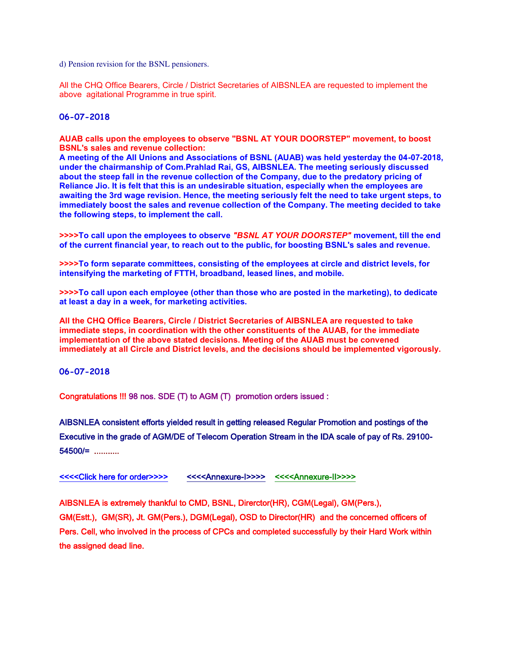d) Pension revision for the BSNL pensioners.

All the CHQ Office Bearers, Circle / District Secretaries of AIBSNLEA are requested to implement the above agitational Programme in true spirit.

### **06-07-2018**

**AUAB calls upon the employees to observe "BSNL AT YOUR DOORSTEP" movement, to boost BSNL's sales and revenue collection:**

**A meeting of the All Unions and Associations of BSNL (AUAB) was held yesterday the 04-07-2018, under the chairmanship of Com.Prahlad Rai, GS, AIBSNLEA. The meeting seriously discussed about the steep fall in the revenue collection of the Company, due to the predatory pricing of Reliance Jio. It is felt that this is an undesirable situation, especially when the employees are awaiting the 3rd wage revision. Hence, the meeting seriously felt the need to take urgent steps, to immediately boost the sales and revenue collection of the Company. The meeting decided to take the following steps, to implement the call.**

**>>>>To call upon the employees to observe** *"BSNL AT YOUR DOORSTEP"* **movement, till the end of the current financial year, to reach out to the public, for boosting BSNL's sales and revenue.**

**>>>>To form separate committees, consisting of the employees at circle and district levels, for intensifying the marketing of FTTH, broadband, leased lines, and mobile.**

**>>>>To call upon each employee (other than those who are posted in the marketing), to dedicate at least a day in a week, for marketing activities.**

**All the CHQ Office Bearers, Circle / District Secretaries of AIBSNLEA are requested to take immediate steps, in coordination with the other constituents of the AUAB, for the immediate implementation of the above stated decisions. Meeting of the AUAB must be convened immediately at all Circle and District levels, and the decisions should be implemented vigorously.**

### **06-07-2018**

Congratulations !!! 98 nos. SDE (T) to AGM (T) promotion orders issued :

AIBSNLEA consistent efforts yielded result in getting released Regular Promotion and postings of the Executive in the grade of AGM/DE of Telecom Operation Stream in the IDA scale of pay of Rs. 29100- 54500/= ...........

[<<<<Click here for order>>>>](http://www.aibsnleachq.in/DE_060718_1.pdf) [<<<<Annexure-I>>>>](http://www.aibsnleachq.in/Annexure_I_060718.pdf) [<<<<Annexure-II>>>>](http://www.aibsnleachq.in/Annexure-II_060718.pdf)

AIBSNLEA is extremely thankful to CMD, BSNL, Direrctor(HR), CGM(Legal), GM(Pers.),

GM(Estt.), GM(SR), Jt. GM(Pers.), DGM(Legal), OSD to Director(HR) and the concerned officers of Pers. Cell, who involved in the process of CPCs and completed successfully by their Hard Work within the assigned dead line.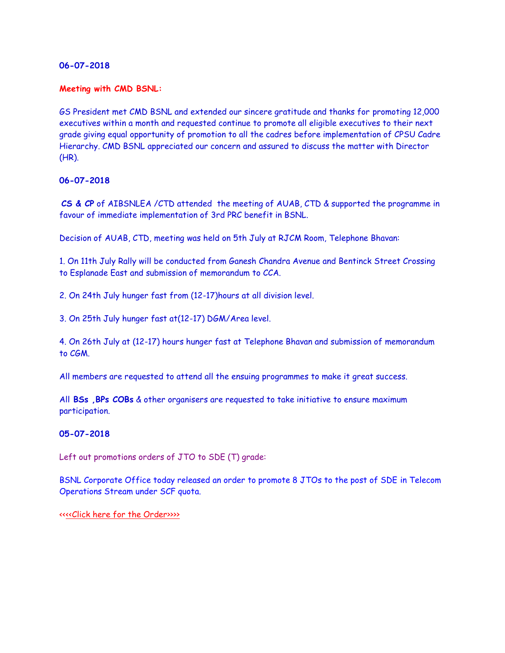### **Meeting with CMD BSNL:**

GS President met CMD BSNL and extended our sincere gratitude and thanks for promoting 12,000 executives within a month and requested continue to promote all eligible executives to their next grade giving equal opportunity of promotion to all the cadres before implementation of CPSU Cadre Hierarchy. CMD BSNL appreciated our concern and assured to discuss the matter with Director (HR).

### **06-07-2018**

**CS & CP** of AIBSNLEA /CTD attended the meeting of AUAB, CTD & supported the programme in favour of immediate implementation of 3rd PRC benefit in BSNL.

Decision of AUAB, CTD, meeting was held on 5th July at RJCM Room, Telephone Bhavan:

1. On 11th July Rally will be conducted from Ganesh Chandra Avenue and Bentinck Street Crossing to Esplanade East and submission of memorandum to CCA.

2. On 24th July hunger fast from (12-17)hours at all division level.

3. On 25th July hunger fast at(12-17) DGM/Area level.

4. On 26th July at (12-17) hours hunger fast at Telephone Bhavan and submission of memorandum to CGM.

All members are requested to attend all the ensuing programmes to make it great success.

All **BSs ,BPs COBs** & other organisers are requested to take initiative to ensure maximum participation.

### **05-07-2018**

Left out promotions orders of JTO to SDE (T) grade:

BSNL Corporate Office today released an order to promote 8 JTOs to the post of SDE in Telecom Operations Stream under SCF quota.

<[<<<Click here for the Order>>>>](http://www.aibsnleachq.in/P2_050718_9.pdf)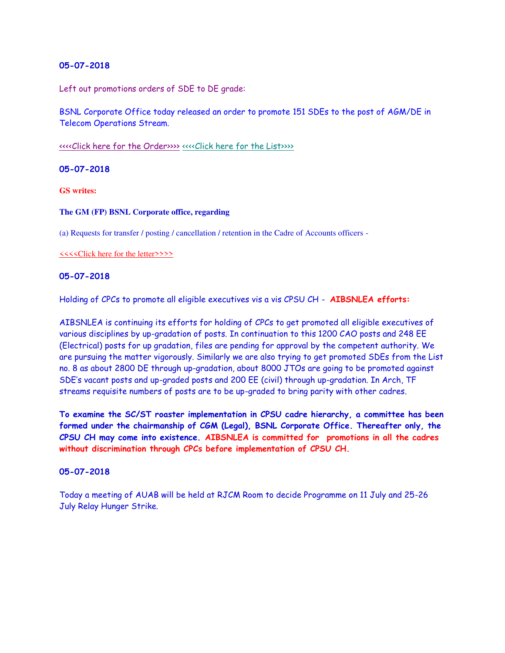Left out promotions orders of SDE to DE grade:

BSNL Corporate Office today released an order to promote 151 SDEs to the post of AGM/DE in Telecom Operations Stream.

[<<<<Click here for the Order>>>>](http://www.aibsnleachq.in/STS_050718_5.pdf) [<<<<Click here for the List>>>>](http://www.aibsnleachq.in/Annexuers_050718.pdf)

**05-07-2018**

**GS writes:**

#### **The GM (FP) BSNL Corporate office, regarding**

(a) Requests for transfer / posting / cancellation / retention in the Cadre of Accounts officers -

[<<<<Click here for the letter>>>>](http://www.aibsnleachq.in/GMFP_180704.pdf)

### **05-07-2018**

Holding of CPCs to promote all eligible executives vis a vis CPSU CH - **AIBSNLEA efforts:**

AIBSNLEA is continuing its efforts for holding of CPCs to get promoted all eligible executives of various disciplines by up-gradation of posts. In continuation to this 1200 CAO posts and 248 EE (Electrical) posts for up gradation, files are pending for approval by the competent authority. We are pursuing the matter vigorously. Similarly we are also trying to get promoted SDEs from the List no. 8 as about 2800 DE through up-gradation, about 8000 JTOs are going to be promoted against SDE's vacant posts and up-graded posts and 200 EE (civil) through up-gradation. In Arch, TF streams requisite numbers of posts are to be up-graded to bring parity with other cadres.

**To examine the SC/ST roaster implementation in CPSU cadre hierarchy, a committee has been formed under the chairmanship of CGM (Legal), BSNL Corporate Office. Thereafter only, the CPSU CH may come into existence. AIBSNLEA is committed for promotions in all the cadres without discrimination through CPCs before implementation of CPSU CH.**

### **05-07-2018**

Today a meeting of AUAB will be held at RJCM Room to decide Programme on 11 July and 25-26 July Relay Hunger Strike.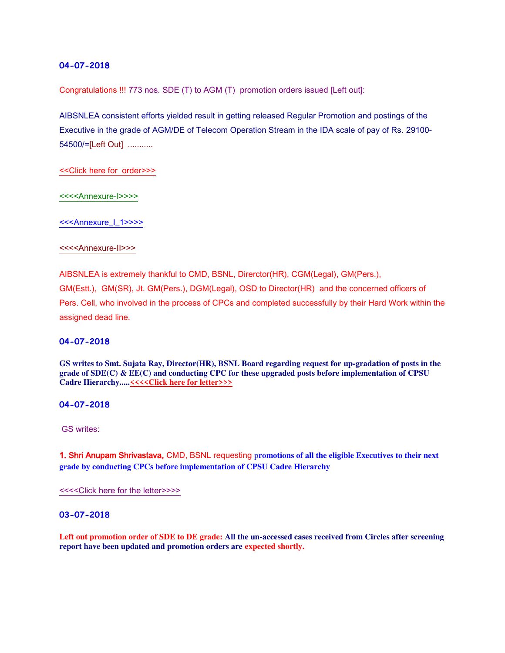Congratulations !!! 773 nos. SDE (T) to AGM (T) promotion orders issued [Left out]:

AIBSNLEA consistent efforts yielded result in getting released Regular Promotion and postings of the Executive in the grade of AGM/DE of Telecom Operation Stream in the IDA scale of pay of Rs. 29100- 54500/=[Left Out] ...........

[<<Click here for order>>>](http://www.aibsnleachq.in/DE_040718_1.pdf) 

[<<<<Annexure-I>>>>](http://www.aibsnleachq.in/Annexure-I_1.pdf) 

[<<<Annexure\\_I\\_1>>>>](http://www.aibsnleachq.in/Annexure-I_2.pdf)

#### [<<<<Annexure-II>>>](http://www.aibsnleachq.in/Annexuer%20II-1.pdf)

AIBSNLEA is extremely thankful to CMD, BSNL, Direrctor(HR), CGM(Legal), GM(Pers.), GM(Estt.), GM(SR), Jt. GM(Pers.), DGM(Legal), OSD to Director(HR) and the concerned officers of Pers. Cell, who involved in the process of CPCs and completed successfully by their Hard Work within the assigned dead line.

#### **04-07-2018**

**GS writes to Smt. Sujata Ray, Director(HR), BSNL Board regarding request for up-gradation of posts in the grade of SDE(C) & EE(C) and conducting CPC for these upgraded posts before implementation of CPSU**  Cadre Hierarchy.....<u><<<<Click here for letter>>>></u>

#### **04-07-2018**

GS writes:

1. Shri Anupam Shrivastava, CMD, BSNL requesting p**romotions of all the eligible Executives to their next grade by conducting CPCs before implementation of CPSU Cadre Hierarchy**

[<<<<Click here for the letter>>>>](http://www.aibsnleachq.in/CMD_Prom_180704.jpg)

#### **03-07-2018**

**Left out promotion order of SDE to DE grade: All the un-accessed cases received from Circles after screening report have been updated and promotion orders are expected shortly.**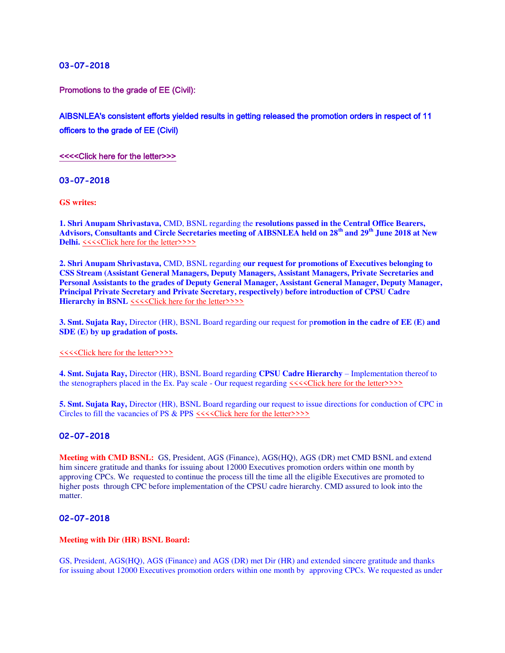Promotions to the grade of EE (Civil):

# AIBSNLEA's consistent efforts yielded results in getting released the promotion orders in respect of 11 officers to the grade of EE (Civil)

[<<<<Click here for the letter>>>](http://www.aibsnleachq.in/EE%20order%202018-07-03.pdf)

**03-07-2018**

**GS writes:**

**1. Shri Anupam Shrivastava,** CMD, BSNL regarding the **resolutions passed in the Central Office Bearers, Advisors, Consultants and Circle Secretaries meeting of AIBSNLEA held on 28th and 29th June 2018 at New Delhi.**  $\langle \langle \langle \langle \rangle \rangle \rangle$  here for the letter >>>>

**2. Shri Anupam Shrivastava,** CMD, BSNL regarding **our request for promotions of Executives belonging to CSS Stream (Assistant General Managers, Deputy Managers, Assistant Managers, Private Secretaries and Personal Assistants to the grades of Deputy General Manager, Assistant General Manager, Deputy Manager, Principal Private Secretary and Private Secretary, respectively) before introduction of CPSU Cadre Hierarchy in BSNL**  $\leq\leq\leq$ Click here for the letter>>>>

**3. Smt. Sujata Ray,** Director (HR), BSNL Board regarding our request for p**romotion in the cadre of EE (E) and SDE (E) by up gradation of posts.**

[<<<<Click here for the letter>>>>](http://www.aibsnleachq.in/DIRHR_180703.pdf)

**4. Smt. Sujata Ray,** Director (HR), BSNL Board regarding **CPSU Cadre Hierarchy** – Implementation thereof to the stenographers placed in the Ex. Pay scale - Our request regarding  $\leq\leq\leq$  Click here for the letter >>>>

**5. Smt. Sujata Ray,** Director (HR), BSNL Board regarding our request to issue directions for conduction of CPC in Circles to fill the vacancies of PS & PPS  $\leq\leq\leq$ Click here for the letter >>>>

#### **02-07-2018**

**Meeting with CMD BSNL:** GS, President, AGS (Finance), AGS(HQ), AGS (DR) met CMD BSNL and extend him sincere gratitude and thanks for issuing about 12000 Executives promotion orders within one month by approving CPCs. We requested to continue the process till the time all the eligible Executives are promoted to higher posts through CPC before implementation of the CPSU cadre hierarchy. CMD assured to look into the matter.

#### **02-07-2018**

#### **Meeting with Dir (HR) BSNL Board:**

GS, President, AGS(HQ), AGS (Finance) and AGS (DR) met Dir (HR) and extended sincere gratitude and thanks for issuing about 12000 Executives promotion orders within one month by approving CPCs. We requested as under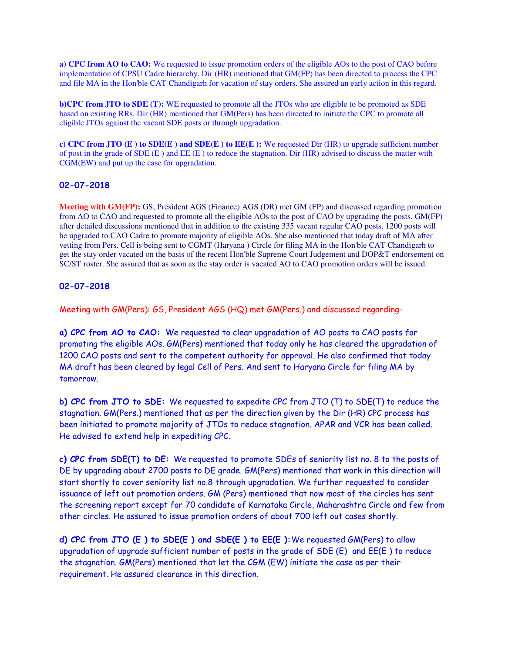**a) CPC from AO to CAO:** We requested to issue promotion orders of the eligible AOs to the post of CAO before implementation of CPSU Cadre hierarchy. Dir (HR) mentioned that GM(FP) has been directed to process the CPC and file MA in the Hon'ble CAT Chandigarh for vacation of stay orders. She assured an early action in this regard.

**b)CPC from JTO to SDE (T):** WE requested to promote all the JTOs who are eligible to be promoted as SDE based on existing RRs. Dir (HR) mentioned that GM(Pers) has been directed to initiate the CPC to promote all eligible JTOs against the vacant SDE posts or through upgradation.

**c) CPC from JTO (E) to SDE(E) and SDE(E) to EE(E):** We requested Dir (HR) to upgrade sufficient number of post in the grade of SDE  $(E)$  and EE  $(E)$  to reduce the stagnation. Dir  $(HR)$  advised to discuss the matter with CGM(EW) and put up the case for upgradation.

# **02-07-2018**

**Meeting with GM(FP):** GS, President AGS (Finance) AGS (DR) met GM (FP) and discussed regarding promotion from AO to CAO and requested to promote all the eligible AOs to the post of CAO by upgrading the posts. GM(FP) after detailed discussions mentioned that in addition to the existing 335 vacant regular CAO posts, 1200 posts will be upgraded to CAO Cadre to promote majority of eligible AOs. She also mentioned that today draft of MA after vetting from Pers. Cell is being sent to CGMT (Haryana ) Circle for filing MA in the Hon'ble CAT Chandigarh to get the stay order vacated on the basis of the recent Hon'ble Supreme Court Judgement and DOP&T endorsement on SC/ST roster. She assured that as soon as the stay order is vacated AO to CAO promotion orders will be issued.

# **02-07-2018**

Meeting with GM(Pers): GS, President AGS (HQ) met GM(Pers.) and discussed regarding-

**a) CPC from AO to CAO:** We requested to clear upgradation of AO posts to CAO posts for promoting the eligible AOs. GM(Pers) mentioned that today only he has cleared the upgradation of 1200 CAO posts and sent to the competent authority for approval. He also confirmed that today MA draft has been cleared by legal Cell of Pers. And sent to Haryana Circle for filing MA by tomorrow.

**b) CPC from JTO to SDE:** We requested to expedite CPC from JTO (T) to SDE(T) to reduce the stagnation. GM(Pers.) mentioned that as per the direction given by the Dir (HR) CPC process has been initiated to promote majority of JTOs to reduce stagnation. APAR and VCR has been called. He advised to extend help in expediting CPC.

**c) CPC from SDE(T) to DE:** We requested to promote SDEs of seniority list no. 8 to the posts of DE by upgrading about 2700 posts to DE grade. GM(Pers) mentioned that work in this direction will start shortly to cover seniority list no.8 through upgradation. We further requested to consider issuance of left out promotion orders. GM (Pers) mentioned that now most of the circles has sent the screening report except for 70 candidate of Karnataka Circle, Maharashtra Circle and few from other circles. He assured to issue promotion orders of about 700 left out cases shortly.

**d) CPC from JTO (E ) to SDE(E ) and SDE(E ) to EE(E ):**We requested GM(Pers) to allow upgradation of upgrade sufficient number of posts in the grade of SDE (E) and EE(E ) to reduce the stagnation. GM(Pers) mentioned that let the CGM (EW) initiate the case as per their requirement. He assured clearance in this direction.